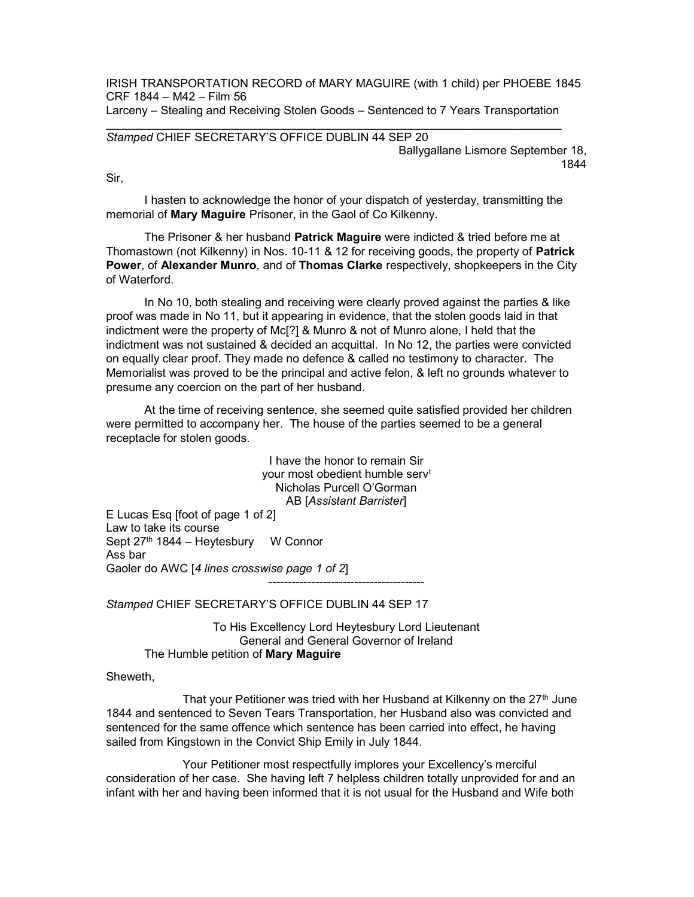IRISH TRANSPORTATION RECORD of MARY MAGUIRE (with 1 child) per PHOEBE 1845 CRF 1844 – M42 – Film 56

Larceny – Stealing and Receiving Stolen Goods – Sentenced to 7 Years Transportation

## Stamped CHIEF SECRETARY'S OFFICE DUBLIN 44 SEP 20

Ballygallane Lismore September 18, 1844

Sir,

 I hasten to acknowledge the honor of your dispatch of yesterday, transmitting the memorial of Mary Maguire Prisoner, in the Gaol of Co Kilkenny.

The Prisoner & her husband Patrick Maguire were indicted & tried before me at Thomastown (not Kilkenny) in Nos. 10-11 & 12 for receiving goods, the property of Patrick Power, of Alexander Munro, and of Thomas Clarke respectively, shopkeepers in the City of Waterford.

 In No 10, both stealing and receiving were clearly proved against the parties & like proof was made in No 11, but it appearing in evidence, that the stolen goods laid in that indictment were the property of Mc[?] & Munro & not of Munro alone, I held that the indictment was not sustained & decided an acquittal. In No 12, the parties were convicted on equally clear proof. They made no defence & called no testimony to character. The Memorialist was proved to be the principal and active felon, & left no grounds whatever to presume any coercion on the part of her husband.

 At the time of receiving sentence, she seemed quite satisfied provided her children were permitted to accompany her. The house of the parties seemed to be a general receptacle for stolen goods.

> I have the honor to remain Sir your most obedient humble serv<sup>t</sup> Nicholas Purcell O'Gorman AB [Assistant Barrister]

----------------------------------------

E Lucas Esq [foot of page 1 of 2] Law to take its course Sept 27<sup>th</sup> 1844 – Heytesbury W Connor Ass bar Gaoler do AWC [4 lines crosswise page 1 of 2]

Stamped CHIEF SECRETARY'S OFFICE DUBLIN 44 SEP 17

To His Excellency Lord Heytesbury Lord Lieutenant General and General Governor of Ireland The Humble petition of Mary Maguire

**Sheweth** 

That your Petitioner was tried with her Husband at Kilkenny on the  $27<sup>th</sup>$  June 1844 and sentenced to Seven Tears Transportation, her Husband also was convicted and sentenced for the same offence which sentence has been carried into effect, he having sailed from Kingstown in the Convict Ship Emily in July 1844.

 Your Petitioner most respectfully implores your Excellency's merciful consideration of her case. She having left 7 helpless children totally unprovided for and an infant with her and having been informed that it is not usual for the Husband and Wife both